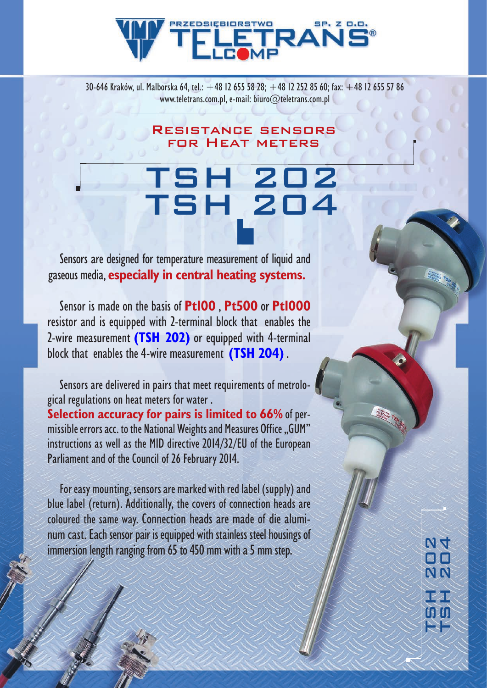## **RZEDSIEBIORSTWO** RA

30-646 Kraków, ul. Malborska 64, tel.:  $+48$  12 655 58 28;  $+48$  12 252 85 60; fax:  $+48$  12 655 57 86 www.teletrans.com.pl, e-mail: biuro@teletrans.com.pl

> Resistance sensors for Heat meters

## TSH 202 TSH 204

 Sensors are designed for temperature measurement of liquid and gaseous media, **especially in central heating systems.**

 Sensor is made on the basis of **Pt100** , **Pt500** or **Pt1000**  resistor and is equipped with 2-terminal block that enables the 2-wire measurement **(TSH 202)** or equipped with 4-terminal block that enables the 4-wire measurement **(TSH 204)** .

Sensors are delivered in pairs that meet requirements of metrological regulations on heat meters for water . **Selection accuracy for pairs is limited to 66% of per**missible errors acc. to the National Weights and Measures Office "GUM" instructions as well as the MID directive 2014/32/EU of the European Parliament and of the Council of 26 February 2014.

For easy mounting, sensors are marked with red label (supply) and blue label (return). Additionally, the covers of connection heads are coloured the same way. Connection heads are made of die aluminum cast. Each sensor pair is equipped with stainless steel housings of immersion length ranging from  $65$  to  $450$  mm with a 5 mm step.

 $M$ 4 TSH 204 TSH 202 BIN N<sub>N</sub> i Ži i Eil 21